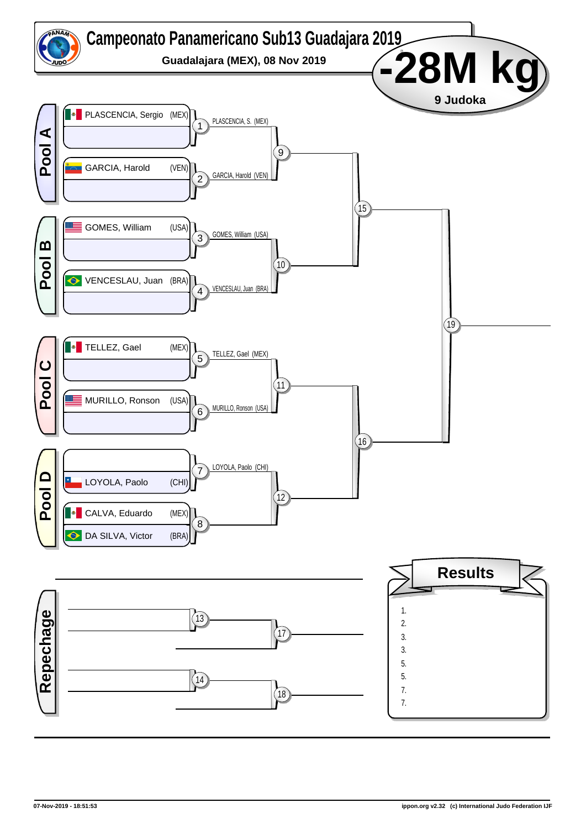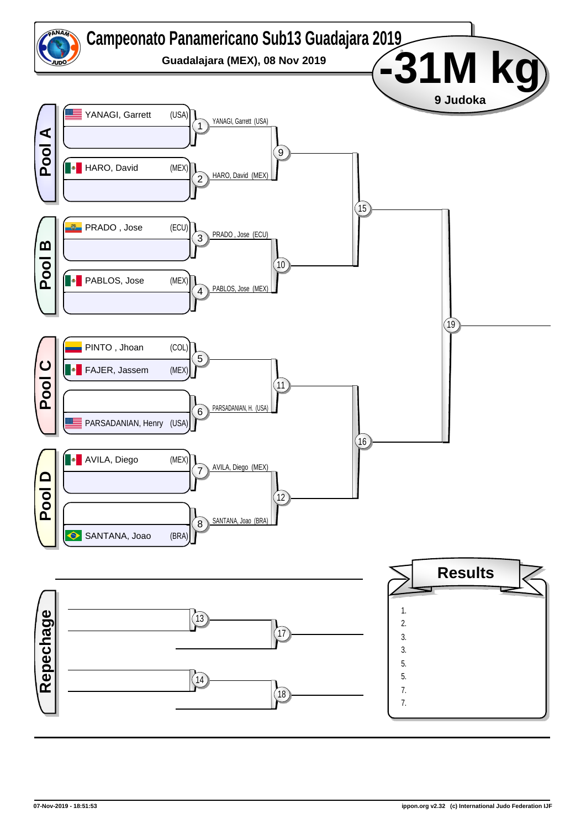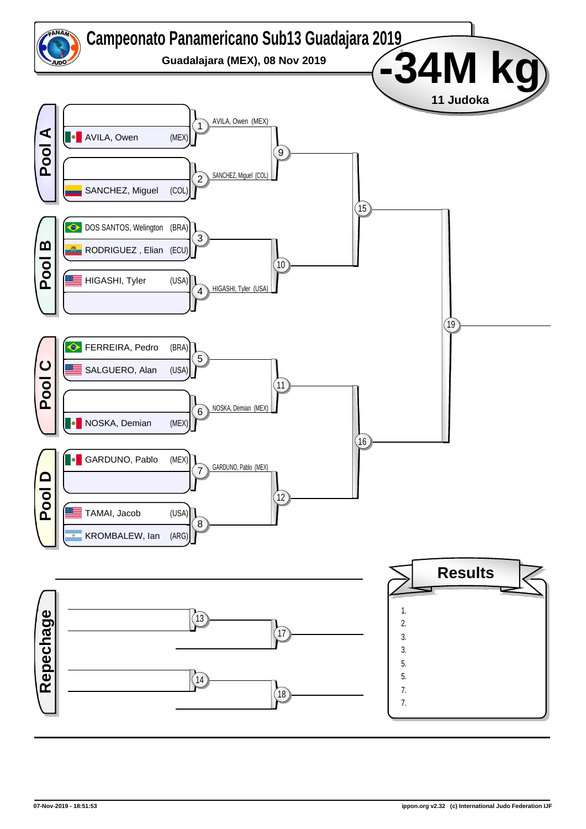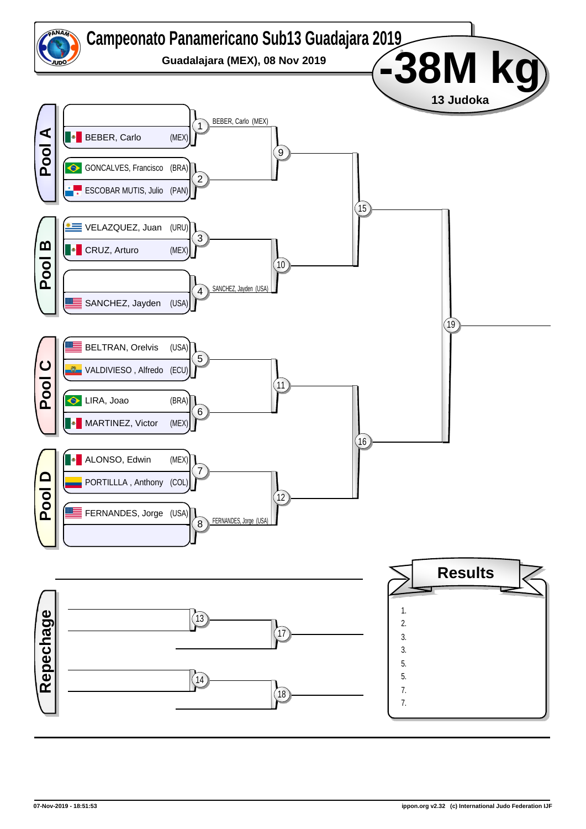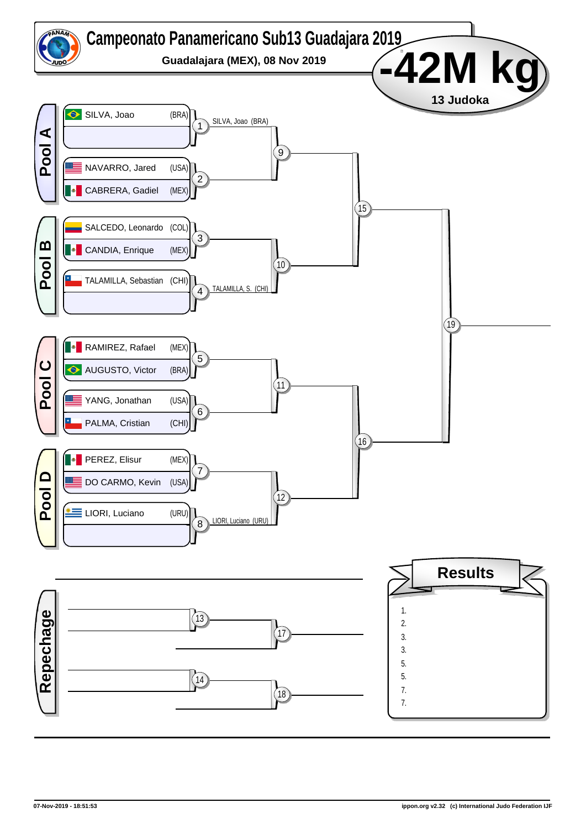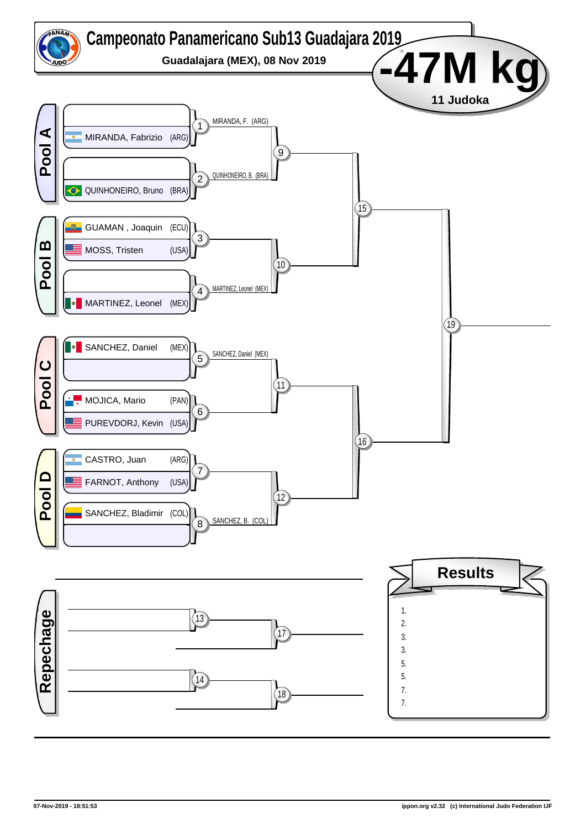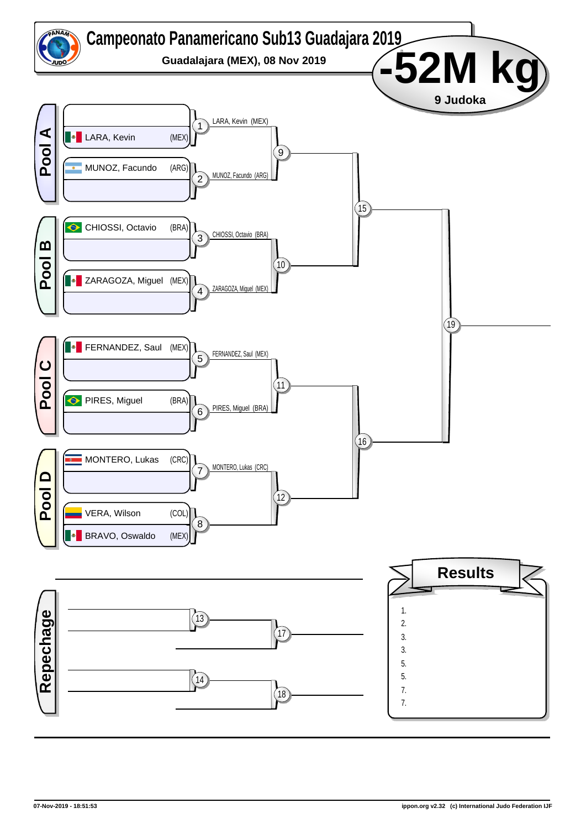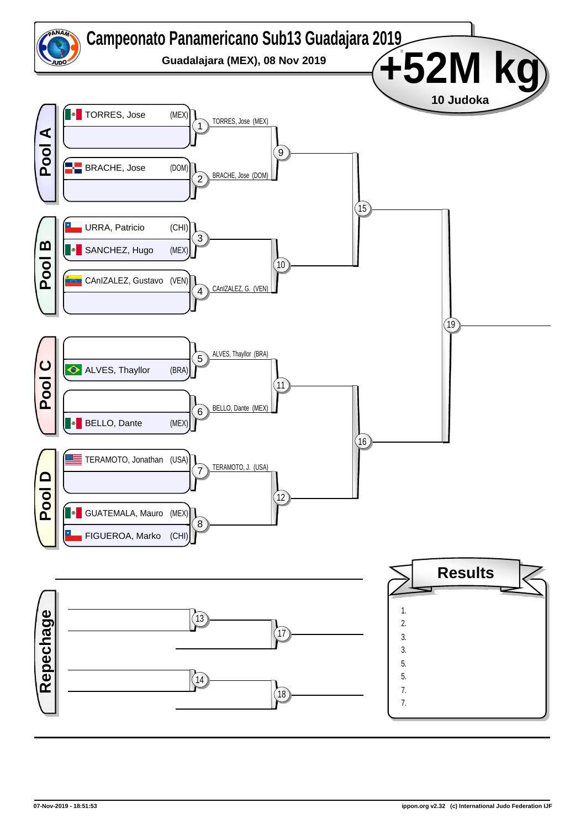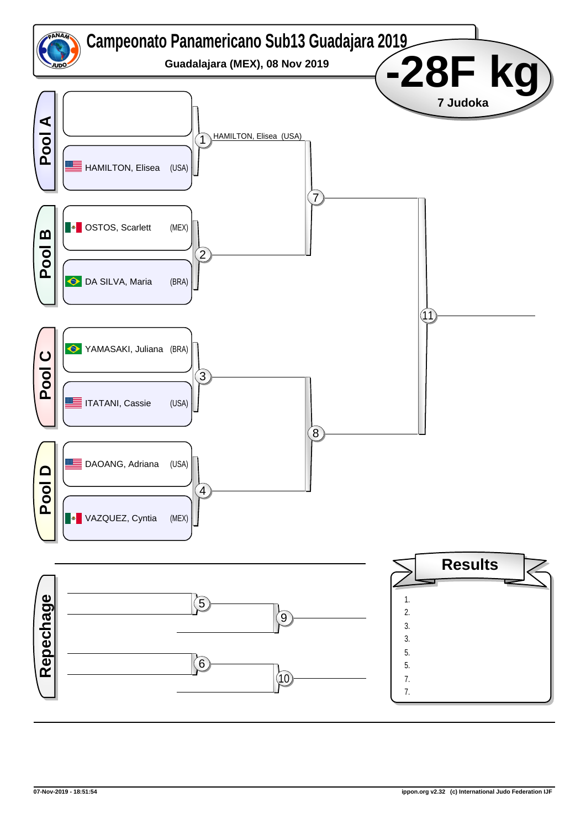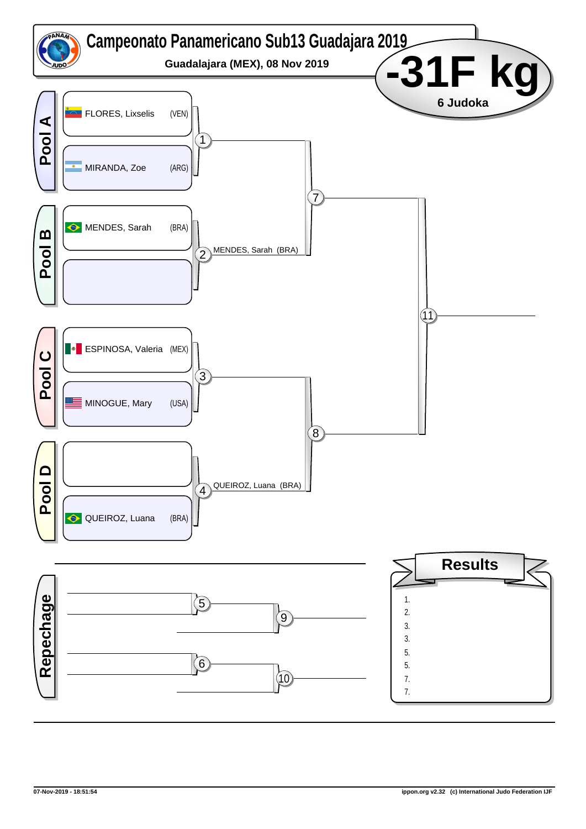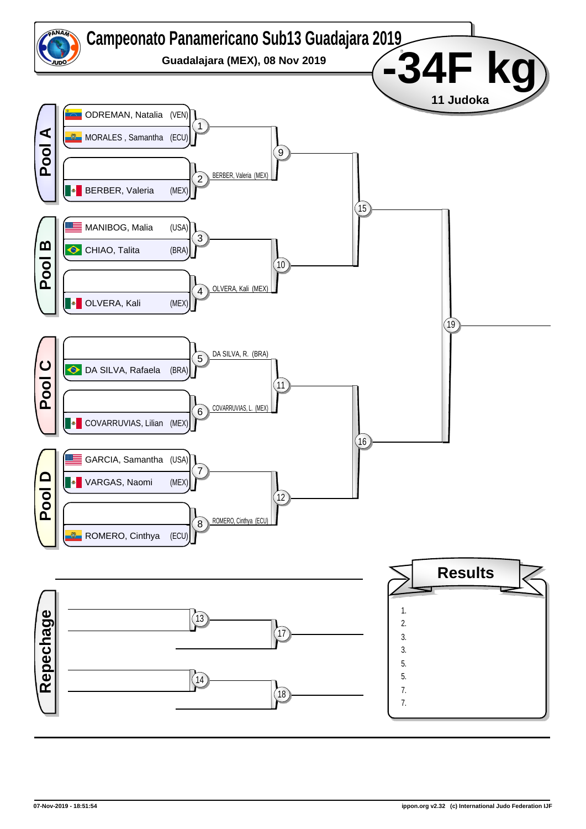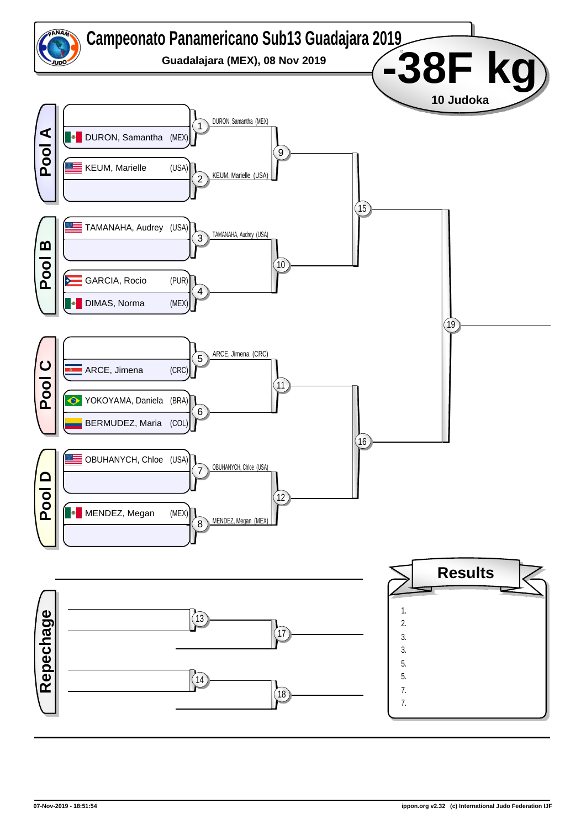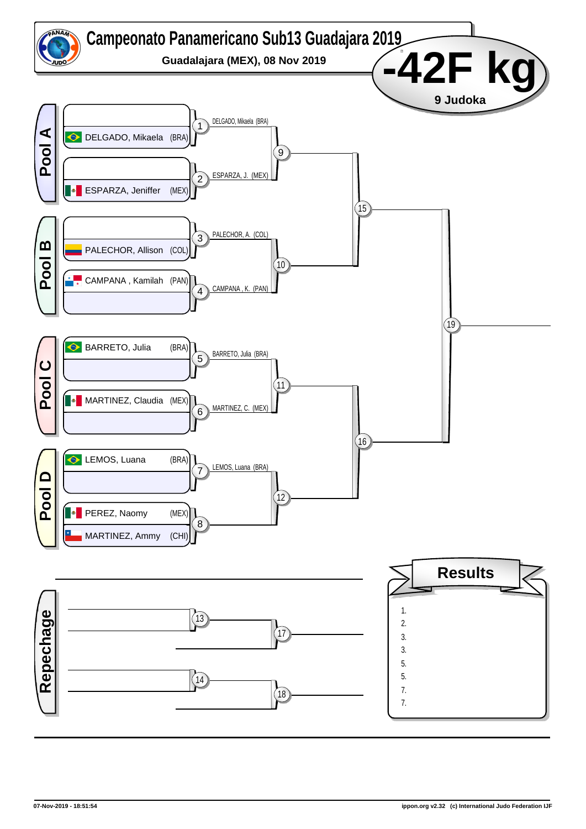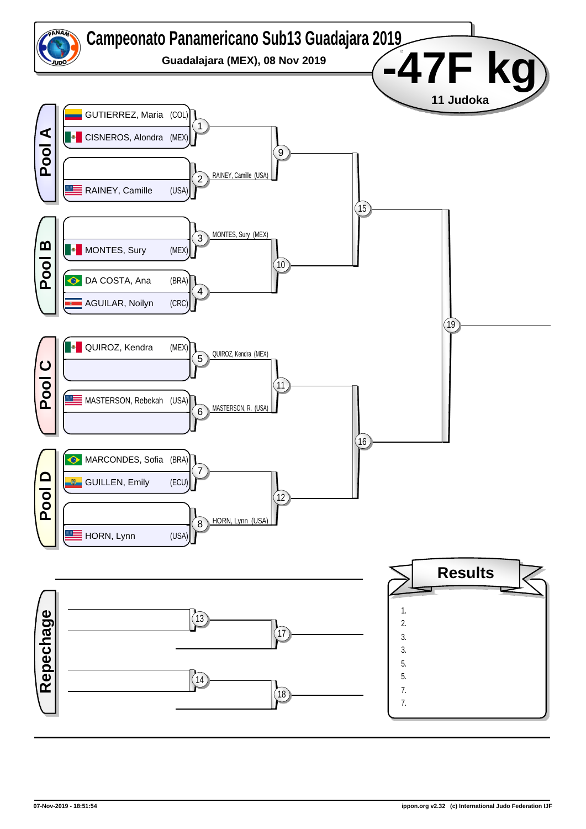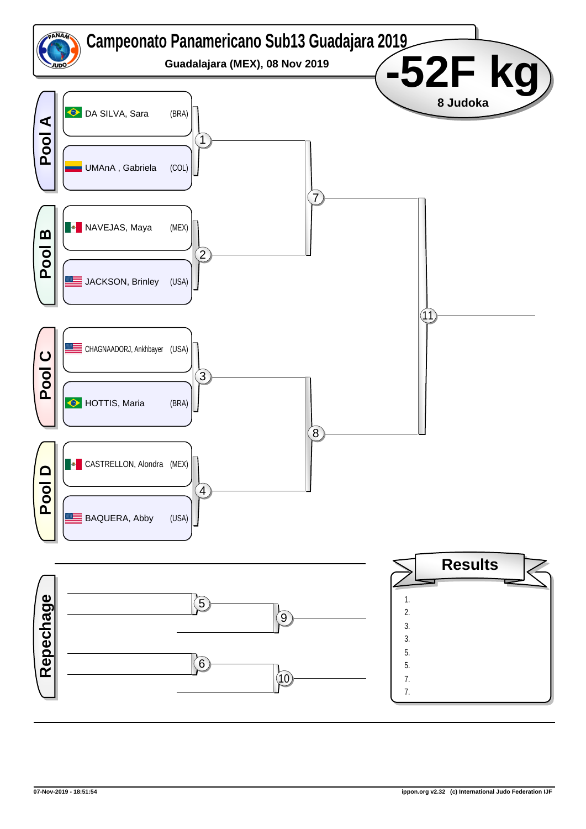